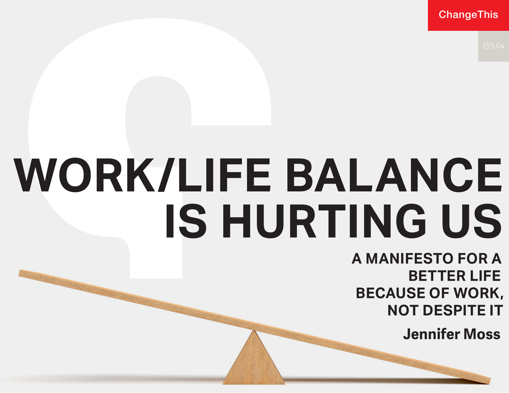# **WORK/LIFE BALANCE IS HURTING US**

**A MANIFESTO FOR A BETTER LIFE BECAUSE OF WORK, NOT DESPITE IT**

**Jennifer Moss**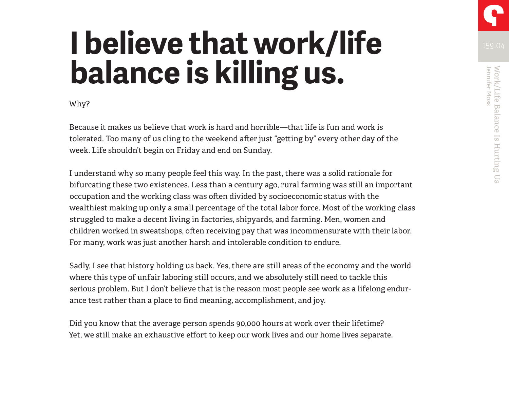Jennifer Moss Work/Life Balance Is Hurting Us

**C** 

Work/Life Balance Is Hurting<br>Jennifer Moss

## **I believe that work/life balance is killing us.**

Why?

Because it makes us believe that work is hard and horrible—that life is fun and work is tolerated. Too many of us cling to the weekend after just "getting by" every other day of the week. Life shouldn't begin on Friday and end on Sunday.

I understand why so many people feel this way. In the past, there was a solid rationale for bifurcating these two existences. Less than a century ago, rural farming was still an important occupation and the working class was often divided by socioeconomic status with the wealthiest making up only a small percentage of the total labor force. Most of the working class struggled to make a decent living in factories, shipyards, and farming. Men, women and children worked in sweatshops, often receiving pay that was incommensurate with their labor. For many, work was just another harsh and intolerable condition to endure.

Sadly, I see that history holding us back. Yes, there are still areas of the economy and the world where this type of unfair laboring still occurs, and we absolutely still need to tackle this serious problem. But I don't believe that is the reason most people see work as a lifelong endurance test rather than a place to find meaning, accomplishment, and joy.

Did you know that the average person spends 90,000 hours at work over their lifetime? Yet, we still make an exhaustive effort to keep our work lives and our home lives separate.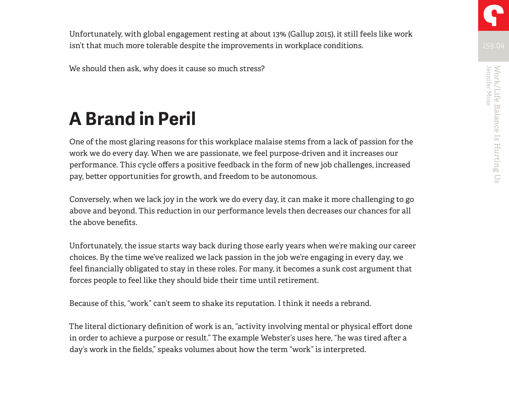Unfortunately, with global engagement resting at about 13% (Gallup 2015), it still feels like work isn't that much more tolerable despite the improvements in workplace conditions.

We should then ask, why does it cause so much stress?

## **A Brand in Peril**

One of the most glaring reasons for this workplace malaise stems from a lack of passion for the work we do every day. When we are passionate, we feel purpose-driven and it increases our performance. This cycle offers a positive feedback in the form of new job challenges, increased pay, better opportunities for growth, and freedom to be autonomous.

Conversely, when we lack joy in the work we do every day, it can make it more challenging to go above and beyond. This reduction in our performance levels then decreases our chances for all the above benefits.

Unfortunately, the issue starts way back during those early years when we're making our career choices. By the time we've realized we lack passion in the job we're engaging in every day, we feel financially obligated to stay in these roles. For many, it becomes a sunk cost argument that forces people to feel like they should bide their time until retirement.

Because of this, "work" can't seem to shake its reputation. I think it needs a rebrand.

The literal dictionary definition of work is an, "activity involving mental or physical effort done in order to achieve a purpose or result." The example Webster's uses here, "he was tired after a day's work in the fields," speaks volumes about how the term "work" is interpreted.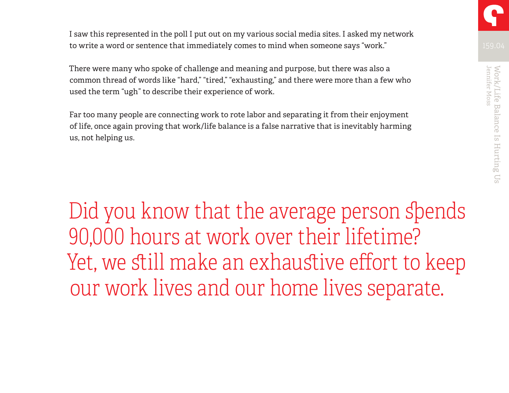I saw this represented in the poll I put out on my various social media sites. I asked my network to write a word or sentence that immediately comes to mind when someone says "work."

There were many who spoke of challenge and meaning and purpose, but there was also a common thread of words like "hard," "tired," "exhausting," and there were more than a few who used the term "ugh" to describe their experience of work.

Far too many people are connecting work to rote labor and separating it from their enjoyment of life, once again proving that work/life balance is a false narrative that is inevitably harming us, not helping us.

Did you know that the average person spends 90,000 hours at work over their lifetime? Yet, we still make an exhaustive effort to keep our work lives and our home lives separate.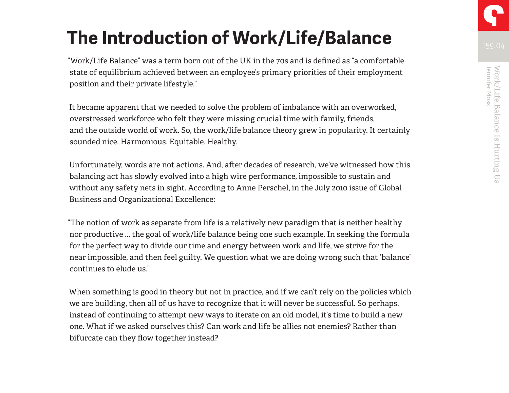## **The Introduction of Work/Life/Balance**

"Work/Life Balance" was a term born out of the UK in the 70s and is defined as "a comfortable state of equilibrium achieved between an employee's primary priorities of their employment position and their private lifestyle."

It became apparent that we needed to solve the problem of imbalance with an overworked, overstressed workforce who felt they were missing crucial time with family, friends, and the outside world of work. So, the work/life balance theory grew in popularity. It certainly sounded nice. Harmonious. Equitable. Healthy.

Unfortunately, words are not actions. And, after decades of research, we've witnessed how this balancing act has slowly evolved into a high wire performance, impossible to sustain and without any safety nets in sight. According to Anne Perschel, in the July 2010 issue of Global Business and Organizational Excellence:

"The notion of work as separate from life is a relatively new paradigm that is neither healthy nor productive ... the goal of work/life balance being one such example. In seeking the formula for the perfect way to divide our time and energy between work and life, we strive for the near impossible, and then feel guilty. We question what we are doing wrong such that 'balance' continues to elude us."

When something is good in theory but not in practice, and if we can't rely on the policies which we are building, then all of us have to recognize that it will never be successful. So perhaps, instead of continuing to attempt new ways to iterate on an old model, it's time to build a new one. What if we asked ourselves this? Can work and life be allies not enemies? Rather than bifurcate can they flow together instead?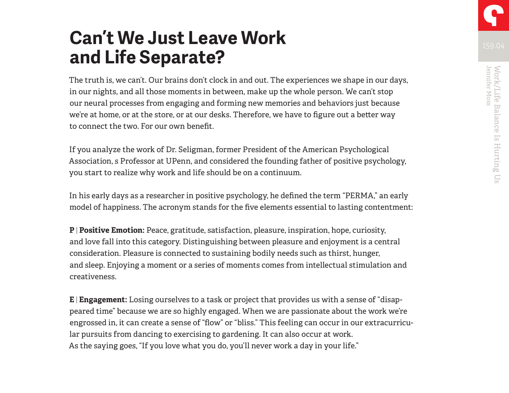**C** 

#### **Can't We Just Leave Work and Life Separate?**

The truth is, we can't. Our brains don't clock in and out. The experiences we shape in our days, in our nights, and all those moments in between, make up the whole person. We can't stop our neural processes from engaging and forming new memories and behaviors just because we're at home, or at the store, or at our desks. Therefore, we have to figure out a better way to connect the two. For our own benefit.

If you analyze the work of Dr. Seligman, former President of the American Psychological Association, s Professor at UPenn, and considered the founding father of positive psychology, you start to realize why work and life should be on a continuum.

In his early days as a researcher in positive psychology, he defined the term "PERMA," an early model of happiness. The acronym stands for the five elements essential to lasting contentment:

**P | Positive Emotion:** Peace, gratitude, satisfaction, pleasure, inspiration, hope, curiosity, and love fall into this category. Distinguishing between pleasure and enjoyment is a central consideration. Pleasure is connected to sustaining bodily needs such as thirst, hunger, and sleep. Enjoying a moment or a series of moments comes from intellectual stimulation and creativeness.

**E | Engagement:** Losing ourselves to a task or project that provides us with a sense of "disappeared time" because we are so highly engaged. When we are passionate about the work we're engrossed in, it can create a sense of "flow" or "bliss." This feeling can occur in our extracurricular pursuits from dancing to exercising to gardening. It can also occur at work. As the saying goes, "If you love what you do, you'll never work a day in your life."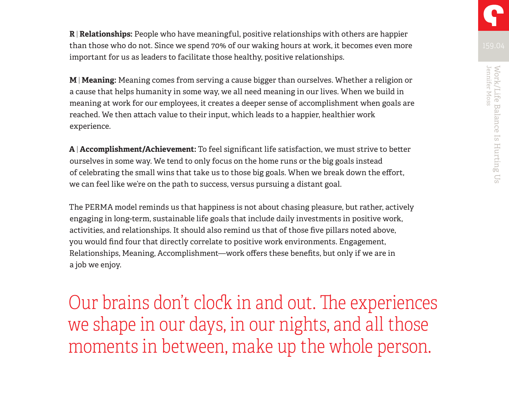**R | Relationships:** People who have meaningful, positive relationships with others are happier than those who do not. Since we spend 70% of our waking hours at work, it becomes even more important for us as leaders to facilitate those healthy, positive relationships.

**M | Meaning:** Meaning comes from serving a cause bigger than ourselves. Whether a religion or a cause that helps humanity in some way, we all need meaning in our lives. When we build in meaning at work for our employees, it creates a deeper sense of accomplishment when goals are reached. We then attach value to their input, which leads to a happier, healthier work experience.

**A | Accomplishment/Achievement:** To feel significant life satisfaction, we must strive to better ourselves in some way. We tend to only focus on the home runs or the big goals instead of celebrating the small wins that take us to those big goals. When we break down the effort, we can feel like we're on the path to success, versus pursuing a distant goal.

The PERMA model reminds us that happiness is not about chasing pleasure, but rather, actively engaging in long-term, sustainable life goals that include daily investments in positive work, activities, and relationships. It should also remind us that of those five pillars noted above, you would find four that directly correlate to positive work environments. Engagement, Relationships, Meaning, Accomplishment—work offers these benefits, but only if we are in a job we enjoy.

Our brains don't clock in and out. The experiences we shape in our days, in our nights, and all those moments in between, make up the whole person.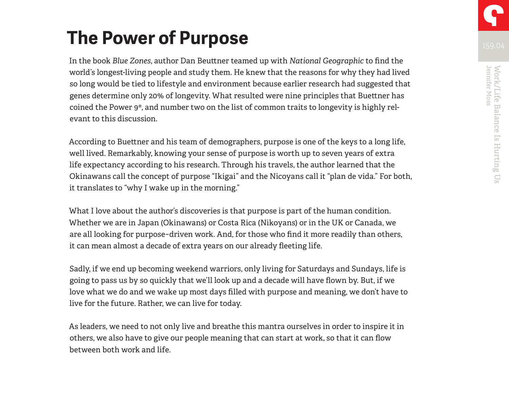## **The Power of Purpose**

In the book *Blue Zones*, author Dan Beuttner teamed up with *National Geographic* to find the world's longest-living people and study them. He knew that the reasons for why they had lived so long would be tied to lifestyle and environment because earlier research had suggested that genes determine only 20% of longevity. What resulted were nine principles that Buettner has coined the Power 9®, and number two on the list of common traits to longevity is highly relevant to this discussion.

According to Buettner and his team of demographers, purpose is one of the keys to a long life, well lived. Remarkably, knowing your sense of purpose is worth up to seven years of extra life expectancy according to his research. Through his travels, the author learned that the Okinawans call the concept of purpose "Ikigai" and the Nicoyans call it "plan de vida." For both, it translates to "why I wake up in the morning."

What I love about the author's discoveries is that purpose is part of the human condition. Whether we are in Japan (Okinawans) or Costa Rica (Nikoyans) or in the UK or Canada, we are all looking for purpose−driven work. And, for those who find it more readily than others, it can mean almost a decade of extra years on our already fleeting life.

Sadly, if we end up becoming weekend warriors, only living for Saturdays and Sundays, life is going to pass us by so quickly that we'll look up and a decade will have flown by. But, if we love what we do and we wake up most days filled with purpose and meaning, we don't have to live for the future. Rather, we can live for today.

As leaders, we need to not only live and breathe this mantra ourselves in order to inspire it in others, we also have to give our people meaning that can start at work, so that it can flow between both work and life.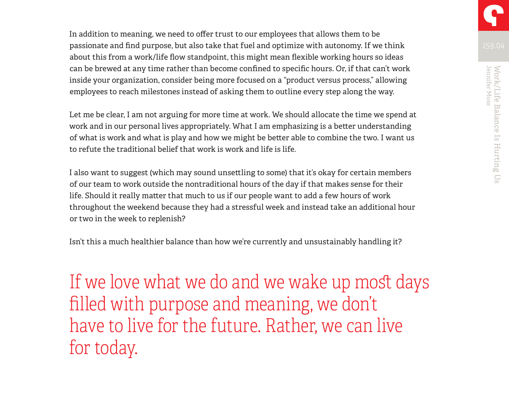In addition to meaning, we need to offer trust to our employees that allows them to be passionate and find purpose, but also take that fuel and optimize with autonomy. If we think about this from a work/life flow standpoint, this might mean flexible working hours so ideas can be brewed at any time rather than become confined to specific hours. Or, if that can't work inside your organization, consider being more focused on a "product versus process," allowing employees to reach milestones instead of asking them to outline every step along the way.

Let me be clear, I am not arguing for more time at work. We should allocate the time we spend at work and in our personal lives appropriately. What I am emphasizing is a better understanding of what is work and what is play and how we might be better able to combine the two. I want us to refute the traditional belief that work is work and life is life.

I also want to suggest (which may sound unsettling to some) that it's okay for certain members of our team to work outside the nontraditional hours of the day if that makes sense for their life. Should it really matter that much to us if our people want to add a few hours of work throughout the weekend because they had a stressful week and instead take an additional hour or two in the week to replenish?

Isn't this a much healthier balance than how we're currently and unsustainably handling it?

If we love what we do and we wake up most days filled with purpose and meaning, we don't have to live for the future. Rather, we can live for today.

**C**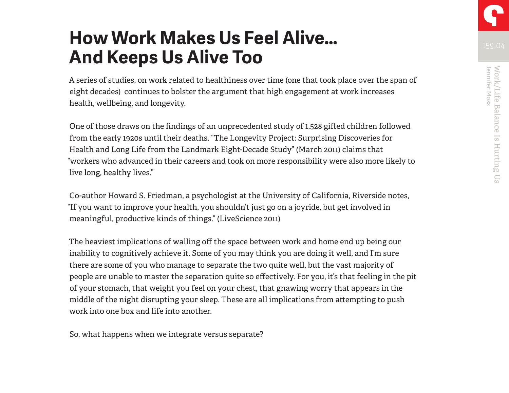#### **How Work Makes Us Feel Alive… And Keeps Us Alive Too**

A series of studies, on work related to healthiness over time (one that took place over the span of eight decades) continues to bolster the argument that high engagement at work increases health, wellbeing, and longevity.

One of those draws on the findings of an unprecedented study of 1,528 gifted children followed from the early 1920s until their deaths. "The Longevity Project: Surprising Discoveries for Health and Long Life from the Landmark Eight-Decade Study" (March 2011) claims that "workers who advanced in their careers and took on more responsibility were also more likely to live long, healthy lives."

Co-author Howard S. Friedman, a psychologist at the University of California, Riverside notes, "If you want to improve your health, you shouldn't just go on a joyride, but get involved in meaningful, productive kinds of things." (LiveScience 2011)

The heaviest implications of walling off the space between work and home end up being our inability to cognitively achieve it. Some of you may think you are doing it well, and I'm sure there are some of you who manage to separate the two quite well, but the vast majority of people are unable to master the separation quite so effectively. For you, it's that feeling in the pit of your stomach, that weight you feel on your chest, that gnawing worry that appears in the middle of the night disrupting your sleep. These are all implications from attempting to push work into one box and life into another.

So, what happens when we integrate versus separate?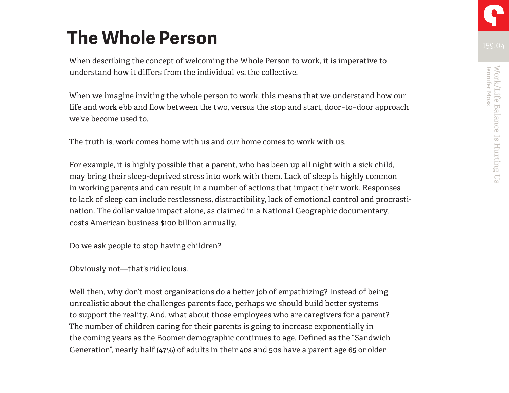## **The Whole Person**

When describing the concept of welcoming the Whole Person to work, it is imperative to understand how it differs from the individual vs. the collective.

When we imagine inviting the whole person to work, this means that we understand how our life and work ebb and flow between the two, versus the stop and start, door−to−door approach we've become used to.

The truth is, work comes home with us and our home comes to work with us.

For example, it is highly possible that a parent, who has been up all night with a sick child, may bring their sleep-deprived stress into work with them. Lack of sleep is highly common in working parents and can result in a number of actions that impact their work. Responses to lack of sleep can include restlessness, distractibility, lack of emotional control and procrastination. The dollar value impact alone, as claimed in a National Geographic documentary, costs American business \$100 billion annually.

Do we ask people to stop having children?

Obviously not—that's ridiculous.

Well then, why don't most organizations do a better job of empathizing? Instead of being unrealistic about the challenges parents face, perhaps we should build better systems to support the reality. And, what about those employees who are caregivers for a parent? The number of children caring for their parents is going to increase exponentially in the coming years as the Boomer demographic continues to age. Defined as the "Sandwich Generation", nearly half (47%) of adults in their 40s and 50s have a parent age 65 or older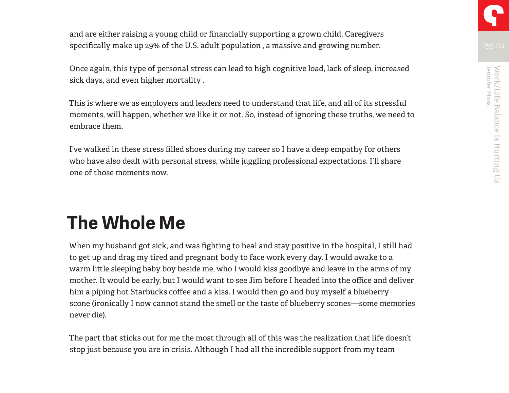and are either raising a young child or financially supporting a grown child. Caregivers specifically make up 29% of the U.S. adult population , a massive and growing number.

Once again, this type of personal stress can lead to high cognitive load, lack of sleep, increased sick days, and even higher mortality .

This is where we as employers and leaders need to understand that life, and all of its stressful moments, will happen, whether we like it or not. So, instead of ignoring these truths, we need to embrace them.

I've walked in these stress filled shoes during my career so I have a deep empathy for others who have also dealt with personal stress, while juggling professional expectations. I'll share one of those moments now.

### **The Whole Me**

When my husband got sick, and was fighting to heal and stay positive in the hospital, I still had to get up and drag my tired and pregnant body to face work every day. I would awake to a warm little sleeping baby boy beside me, who I would kiss goodbye and leave in the arms of my mother. It would be early, but I would want to see Jim before I headed into the office and deliver him a piping hot Starbucks coffee and a kiss. I would then go and buy myself a blueberry scone (ironically I now cannot stand the smell or the taste of blueberry scones—some memories never die).

The part that sticks out for me the most through all of this was the realization that life doesn't stop just because you are in crisis. Although I had all the incredible support from my team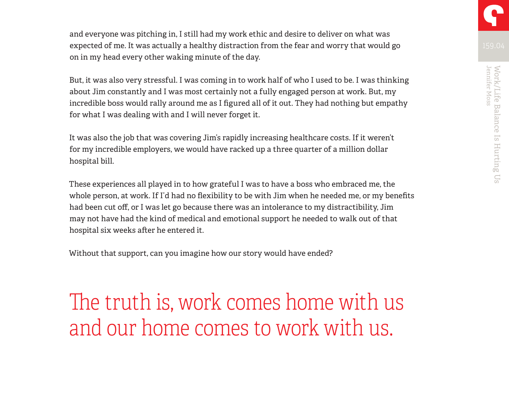and everyone was pitching in, I still had my work ethic and desire to deliver on what was expected of me. It was actually a healthy distraction from the fear and worry that would go on in my head every other waking minute of the day.

But, it was also very stressful. I was coming in to work half of who I used to be. I was thinking about Jim constantly and I was most certainly not a fully engaged person at work. But, my incredible boss would rally around me as I figured all of it out. They had nothing but empathy for what I was dealing with and I will never forget it.

It was also the job that was covering Jim's rapidly increasing healthcare costs. If it weren't for my incredible employers, we would have racked up a three quarter of a million dollar hospital bill.

These experiences all played in to how grateful I was to have a boss who embraced me, the whole person, at work. If I'd had no flexibility to be with Jim when he needed me, or my benefits had been cut off, or I was let go because there was an intolerance to my distractibility, Jim may not have had the kind of medical and emotional support he needed to walk out of that hospital six weeks after he entered it.

Without that support, can you imagine how our story would have ended?

The truth is, work comes home with us and our home comes to work with us.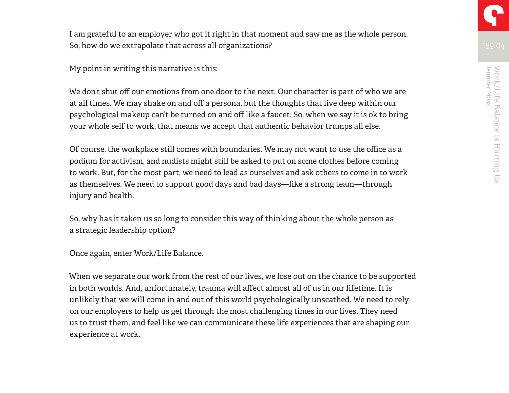I am grateful to an employer who got it right in that moment and saw me as the whole person. So, how do we extrapolate that across all organizations?

My point in writing this narrative is this:

We don't shut off our emotions from one door to the next. Our character is part of who we are at all times. We may shake on and off a persona, but the thoughts that live deep within our psychological makeup can't be turned on and off like a faucet. So, when we say it is ok to bring your whole self to work, that means we accept that authentic behavior trumps all else.

Of course, the workplace still comes with boundaries. We may not want to use the office as a podium for activism, and nudists might still be asked to put on some clothes before coming to work. But, for the most part, we need to lead as ourselves and ask others to come in to work as themselves. We need to support good days and bad days—like a strong team—through injury and health.

So, why has it taken us so long to consider this way of thinking about the whole person as a strategic leadership option?

Once again, enter Work/Life Balance.

When we separate our work from the rest of our lives, we lose out on the chance to be supported in both worlds. And, unfortunately, trauma will affect almost all of us in our lifetime. It is unlikely that we will come in and out of this world psychologically unscathed. We need to rely on our employers to help us get through the most challenging times in our lives. They need us to trust them, and feel like we can communicate these life experiences that are shaping our experience at work.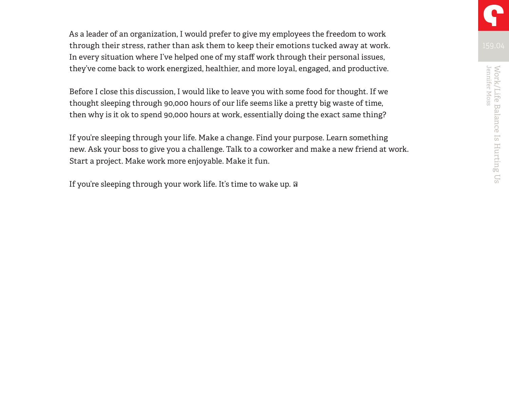As a leader of an organization, I would prefer to give my employees the freedom to work through their stress, rather than ask them to keep their emotions tucked away at work. In every situation where I've helped one of my staff work through their personal issues, they've come back to work energized, healthier, and more loyal, engaged, and productive.

Before I close this discussion, I would like to leave you with some food for thought. If we thought sleeping through 90,000 hours of our life seems like a pretty big waste of time, then why is it ok to spend 90,000 hours at work, essentially doing the exact same thing?

If you're sleeping through your life. Make a change. Find your purpose. Learn something new. Ask your boss to give you a challenge. Talk to a coworker and make a new friend at work. Start a project. Make work more enjoyable. Make it fun.

If you're sleeping through your work life. It's time to wake up.  $\Omega$ 

 $\overline{\Omega}$